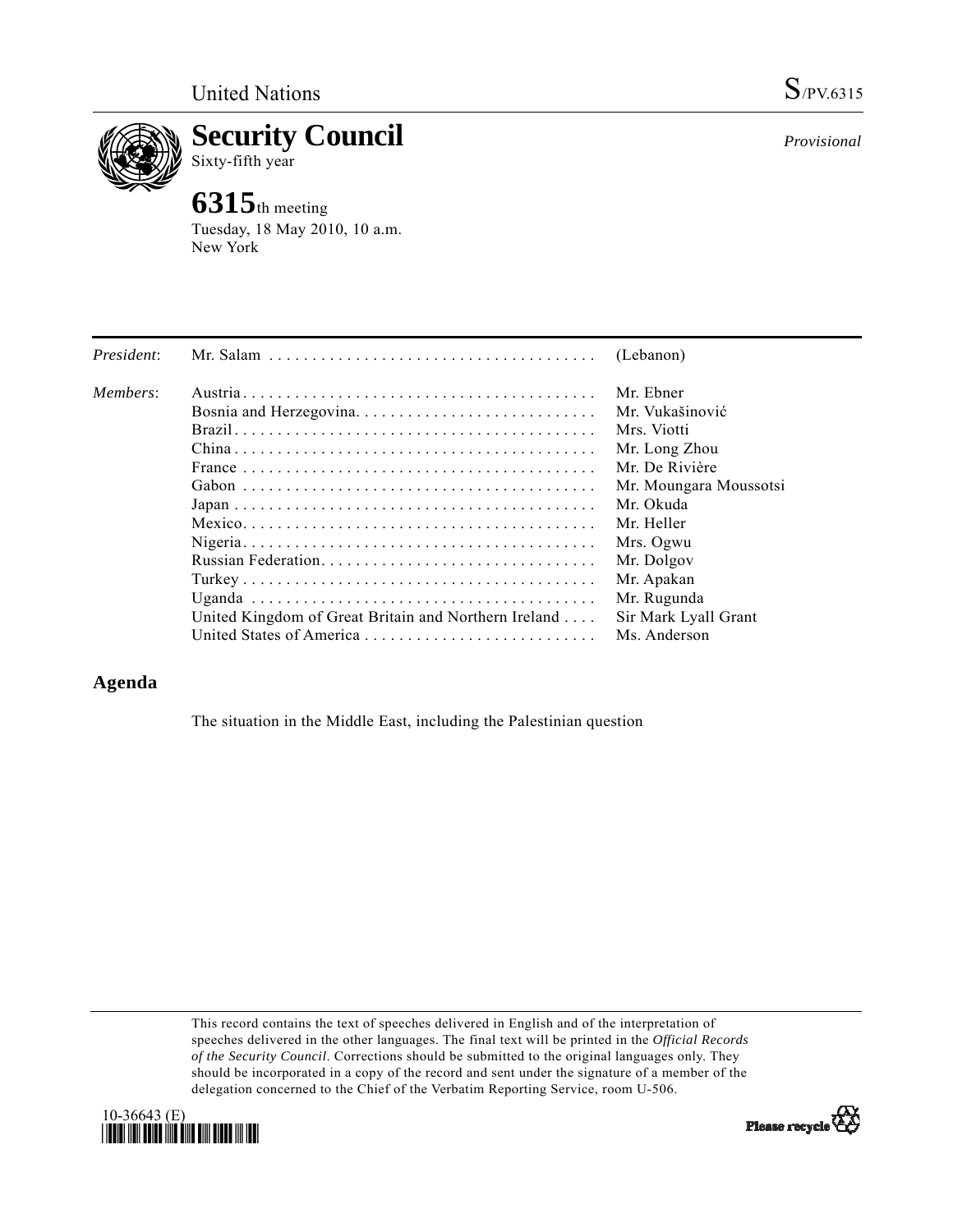

**Security Council**  Sixty-fifth year

## **6315**th meeting

Tuesday, 18 May 2010, 10 a.m. New York

| President: |                                                                                              | (Lebanon)              |
|------------|----------------------------------------------------------------------------------------------|------------------------|
| Members:   |                                                                                              | Mr. Ebner              |
|            |                                                                                              | Mr. Vukašinović        |
|            |                                                                                              | Mrs. Viotti            |
|            |                                                                                              | Mr. Long Zhou          |
|            | France $\ldots \ldots \ldots \ldots \ldots \ldots \ldots \ldots \ldots \ldots \ldots \ldots$ | Mr. De Rivière         |
|            |                                                                                              | Mr. Moungara Moussotsi |
|            |                                                                                              | Mr. Okuda              |
|            |                                                                                              | Mr. Heller             |
|            |                                                                                              | Mrs. Ogwu              |
|            |                                                                                              | Mr. Dolgov             |
|            |                                                                                              | Mr. Apakan             |
|            |                                                                                              | Mr. Rugunda            |
|            | United Kingdom of Great Britain and Northern Ireland                                         | Sir Mark Lyall Grant   |
|            |                                                                                              | Ms. Anderson           |

## **Agenda**

The situation in the Middle East, including the Palestinian question

This record contains the text of speeches delivered in English and of the interpretation of speeches delivered in the other languages. The final text will be printed in the *Official Records of the Security Council*. Corrections should be submitted to the original languages only. They should be incorporated in a copy of the record and sent under the signature of a member of the delegation concerned to the Chief of the Verbatim Reporting Service, room U-506.



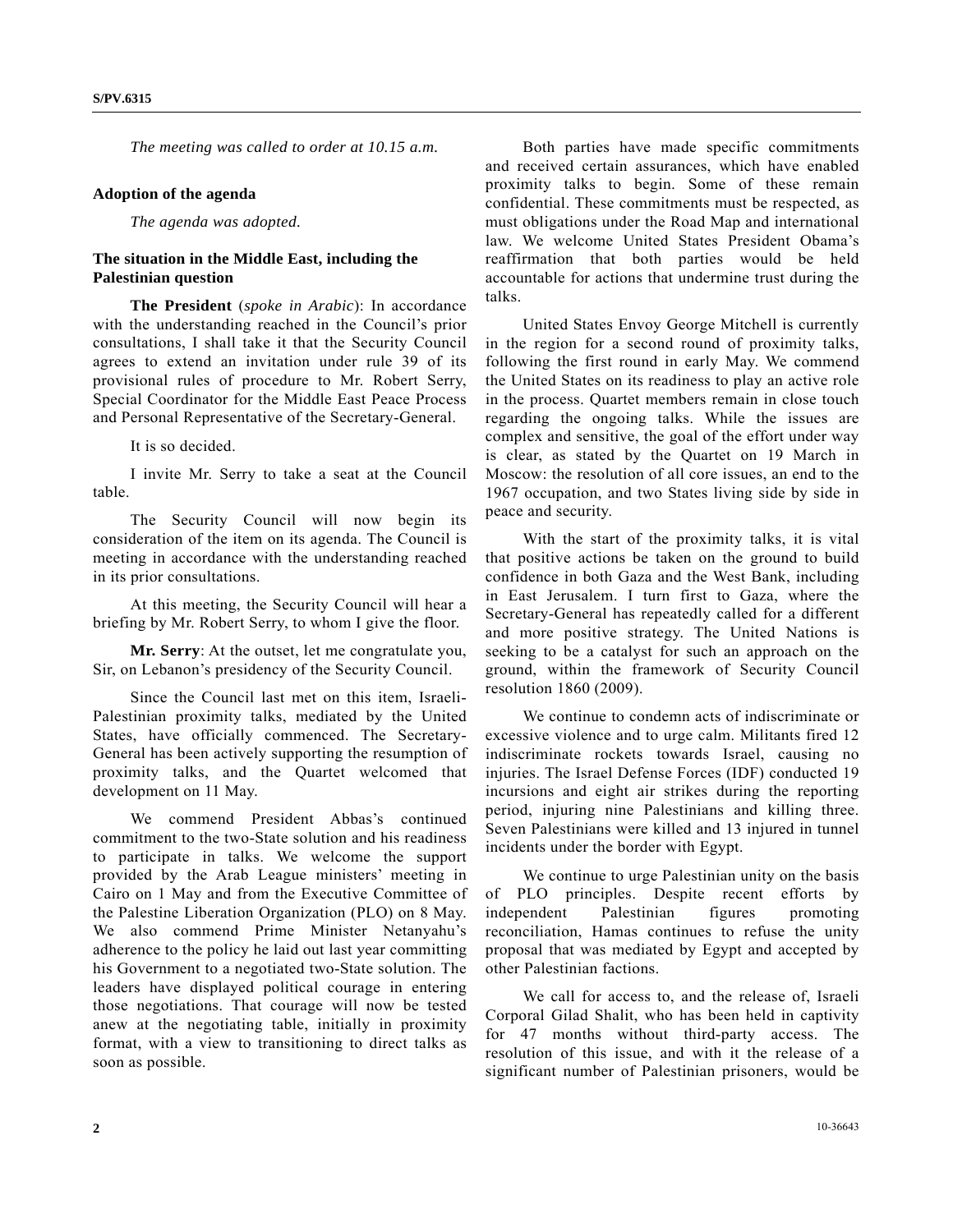*The meeting was called to order at 10.15 a.m.* 

## **Adoption of the agenda**

*The agenda was adopted.* 

## **The situation in the Middle East, including the Palestinian question**

**The President** (*spoke in Arabic*): In accordance with the understanding reached in the Council's prior consultations, I shall take it that the Security Council agrees to extend an invitation under rule 39 of its provisional rules of procedure to Mr. Robert Serry, Special Coordinator for the Middle East Peace Process and Personal Representative of the Secretary-General.

It is so decided.

 I invite Mr. Serry to take a seat at the Council table.

 The Security Council will now begin its consideration of the item on its agenda. The Council is meeting in accordance with the understanding reached in its prior consultations.

 At this meeting, the Security Council will hear a briefing by Mr. Robert Serry, to whom I give the floor.

**Mr. Serry**: At the outset, let me congratulate you, Sir, on Lebanon's presidency of the Security Council.

 Since the Council last met on this item, Israeli-Palestinian proximity talks, mediated by the United States, have officially commenced. The Secretary-General has been actively supporting the resumption of proximity talks, and the Quartet welcomed that development on 11 May.

 We commend President Abbas's continued commitment to the two-State solution and his readiness to participate in talks. We welcome the support provided by the Arab League ministers' meeting in Cairo on 1 May and from the Executive Committee of the Palestine Liberation Organization (PLO) on 8 May. We also commend Prime Minister Netanyahu's adherence to the policy he laid out last year committing his Government to a negotiated two-State solution. The leaders have displayed political courage in entering those negotiations. That courage will now be tested anew at the negotiating table, initially in proximity format, with a view to transitioning to direct talks as soon as possible.

 Both parties have made specific commitments and received certain assurances, which have enabled proximity talks to begin. Some of these remain confidential. These commitments must be respected, as must obligations under the Road Map and international law. We welcome United States President Obama's reaffirmation that both parties would be held accountable for actions that undermine trust during the talks.

 United States Envoy George Mitchell is currently in the region for a second round of proximity talks, following the first round in early May. We commend the United States on its readiness to play an active role in the process. Quartet members remain in close touch regarding the ongoing talks. While the issues are complex and sensitive, the goal of the effort under way is clear, as stated by the Quartet on 19 March in Moscow: the resolution of all core issues, an end to the 1967 occupation, and two States living side by side in peace and security.

 With the start of the proximity talks, it is vital that positive actions be taken on the ground to build confidence in both Gaza and the West Bank, including in East Jerusalem. I turn first to Gaza, where the Secretary-General has repeatedly called for a different and more positive strategy. The United Nations is seeking to be a catalyst for such an approach on the ground, within the framework of Security Council resolution 1860 (2009).

 We continue to condemn acts of indiscriminate or excessive violence and to urge calm. Militants fired 12 indiscriminate rockets towards Israel, causing no injuries. The Israel Defense Forces (IDF) conducted 19 incursions and eight air strikes during the reporting period, injuring nine Palestinians and killing three. Seven Palestinians were killed and 13 injured in tunnel incidents under the border with Egypt.

 We continue to urge Palestinian unity on the basis of PLO principles. Despite recent efforts by independent Palestinian figures promoting reconciliation, Hamas continues to refuse the unity proposal that was mediated by Egypt and accepted by other Palestinian factions.

 We call for access to, and the release of, Israeli Corporal Gilad Shalit, who has been held in captivity for 47 months without third-party access. The resolution of this issue, and with it the release of a significant number of Palestinian prisoners, would be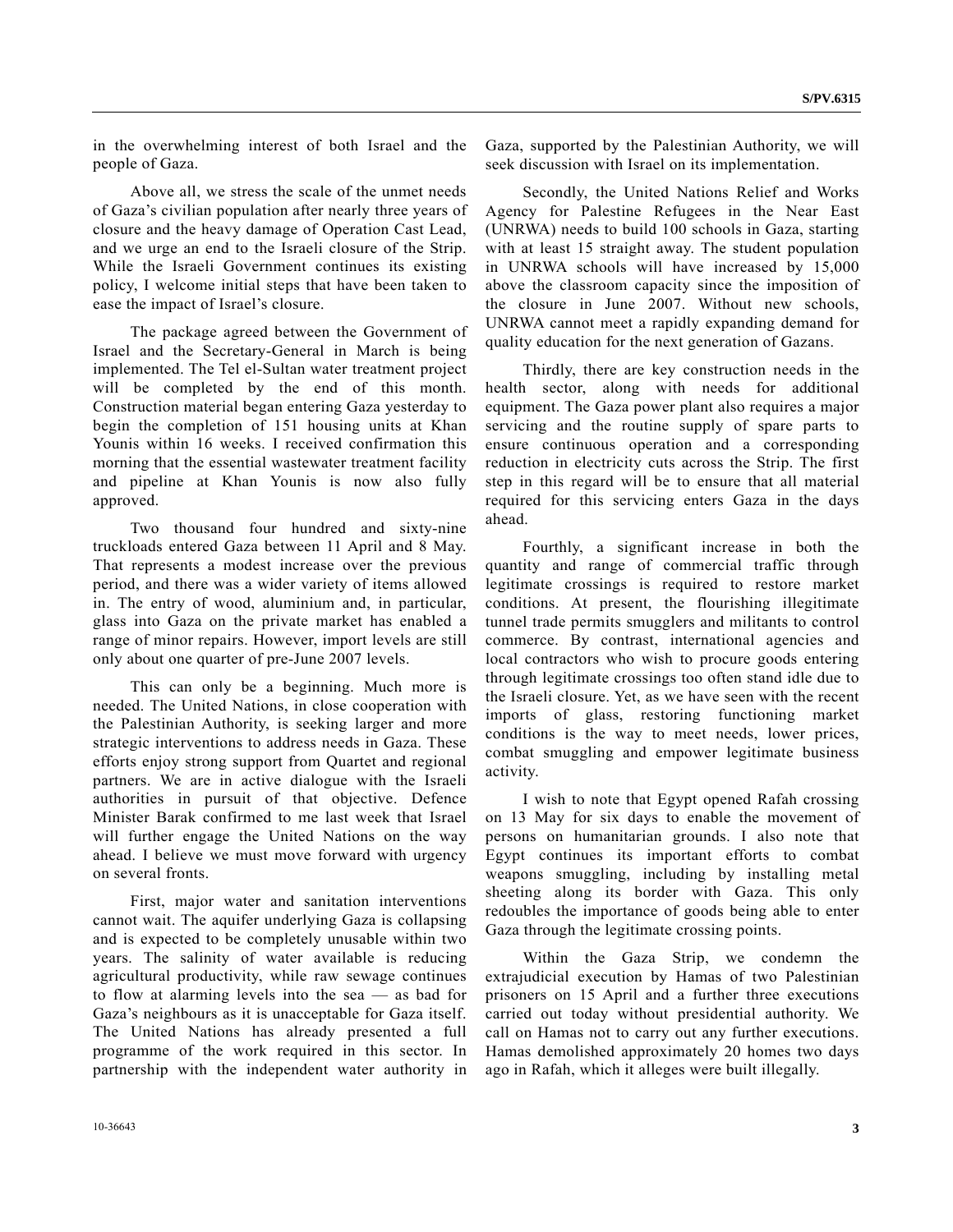in the overwhelming interest of both Israel and the people of Gaza.

 Above all, we stress the scale of the unmet needs of Gaza's civilian population after nearly three years of closure and the heavy damage of Operation Cast Lead, and we urge an end to the Israeli closure of the Strip. While the Israeli Government continues its existing policy, I welcome initial steps that have been taken to ease the impact of Israel's closure.

 The package agreed between the Government of Israel and the Secretary-General in March is being implemented. The Tel el-Sultan water treatment project will be completed by the end of this month. Construction material began entering Gaza yesterday to begin the completion of 151 housing units at Khan Younis within 16 weeks. I received confirmation this morning that the essential wastewater treatment facility and pipeline at Khan Younis is now also fully approved.

 Two thousand four hundred and sixty-nine truckloads entered Gaza between 11 April and 8 May. That represents a modest increase over the previous period, and there was a wider variety of items allowed in. The entry of wood, aluminium and, in particular, glass into Gaza on the private market has enabled a range of minor repairs. However, import levels are still only about one quarter of pre-June 2007 levels.

 This can only be a beginning. Much more is needed. The United Nations, in close cooperation with the Palestinian Authority, is seeking larger and more strategic interventions to address needs in Gaza. These efforts enjoy strong support from Quartet and regional partners. We are in active dialogue with the Israeli authorities in pursuit of that objective. Defence Minister Barak confirmed to me last week that Israel will further engage the United Nations on the way ahead. I believe we must move forward with urgency on several fronts.

 First, major water and sanitation interventions cannot wait. The aquifer underlying Gaza is collapsing and is expected to be completely unusable within two years. The salinity of water available is reducing agricultural productivity, while raw sewage continues to flow at alarming levels into the sea — as bad for Gaza's neighbours as it is unacceptable for Gaza itself. The United Nations has already presented a full programme of the work required in this sector. In partnership with the independent water authority in

 Secondly, the United Nations Relief and Works Agency for Palestine Refugees in the Near East (UNRWA) needs to build 100 schools in Gaza, starting with at least 15 straight away. The student population in UNRWA schools will have increased by 15,000 above the classroom capacity since the imposition of the closure in June 2007. Without new schools, UNRWA cannot meet a rapidly expanding demand for quality education for the next generation of Gazans.

 Thirdly, there are key construction needs in the health sector, along with needs for additional equipment. The Gaza power plant also requires a major servicing and the routine supply of spare parts to ensure continuous operation and a corresponding reduction in electricity cuts across the Strip. The first step in this regard will be to ensure that all material required for this servicing enters Gaza in the days ahead.

 Fourthly, a significant increase in both the quantity and range of commercial traffic through legitimate crossings is required to restore market conditions. At present, the flourishing illegitimate tunnel trade permits smugglers and militants to control commerce. By contrast, international agencies and local contractors who wish to procure goods entering through legitimate crossings too often stand idle due to the Israeli closure. Yet, as we have seen with the recent imports of glass, restoring functioning market conditions is the way to meet needs, lower prices, combat smuggling and empower legitimate business activity.

 I wish to note that Egypt opened Rafah crossing on 13 May for six days to enable the movement of persons on humanitarian grounds. I also note that Egypt continues its important efforts to combat weapons smuggling, including by installing metal sheeting along its border with Gaza. This only redoubles the importance of goods being able to enter Gaza through the legitimate crossing points.

 Within the Gaza Strip, we condemn the extrajudicial execution by Hamas of two Palestinian prisoners on 15 April and a further three executions carried out today without presidential authority. We call on Hamas not to carry out any further executions. Hamas demolished approximately 20 homes two days ago in Rafah, which it alleges were built illegally.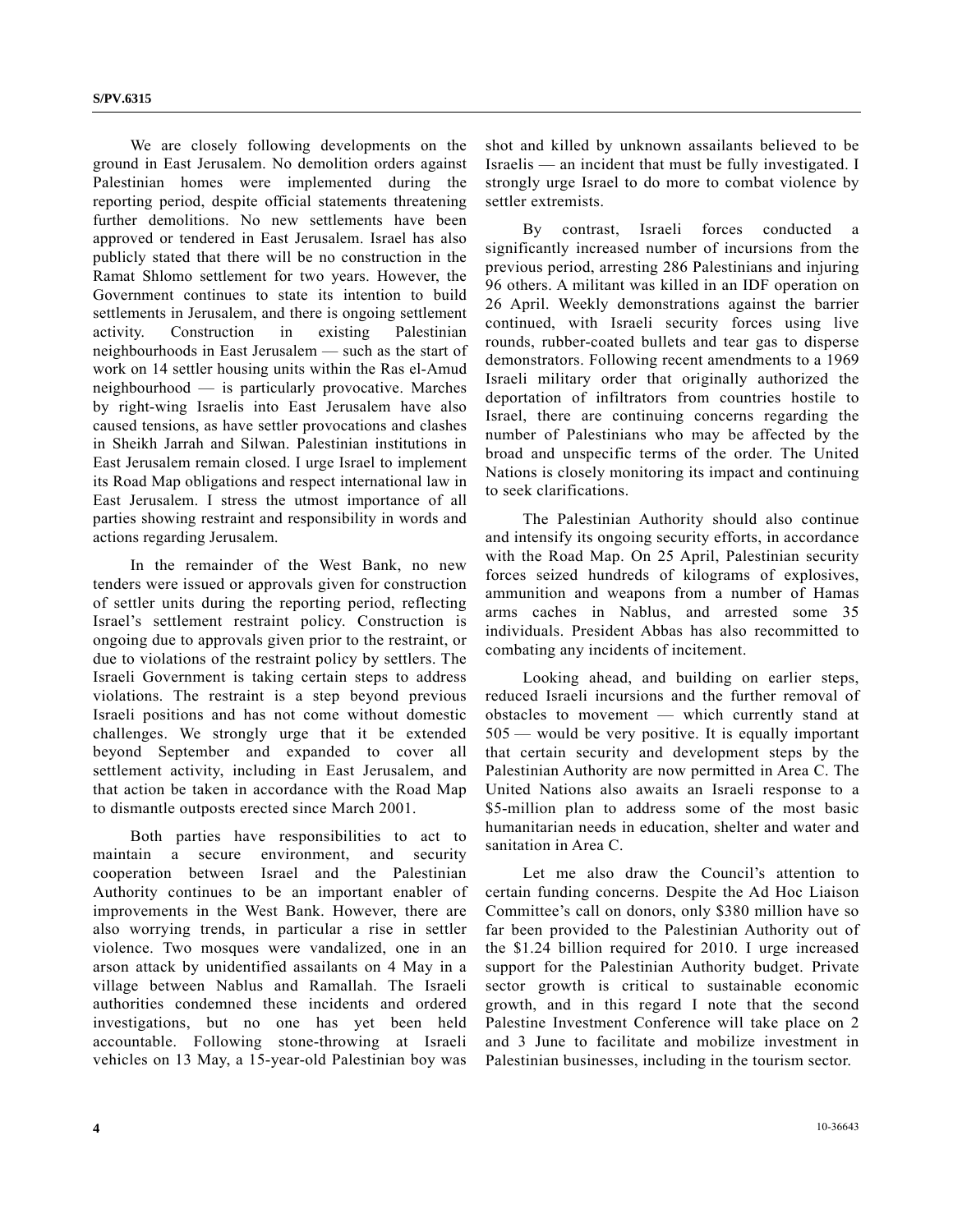We are closely following developments on the ground in East Jerusalem. No demolition orders against Palestinian homes were implemented during the reporting period, despite official statements threatening further demolitions. No new settlements have been approved or tendered in East Jerusalem. Israel has also publicly stated that there will be no construction in the Ramat Shlomo settlement for two years. However, the Government continues to state its intention to build settlements in Jerusalem, and there is ongoing settlement activity. Construction in existing Palestinian neighbourhoods in East Jerusalem — such as the start of work on 14 settler housing units within the Ras el-Amud neighbourhood — is particularly provocative. Marches by right-wing Israelis into East Jerusalem have also caused tensions, as have settler provocations and clashes in Sheikh Jarrah and Silwan. Palestinian institutions in East Jerusalem remain closed. I urge Israel to implement its Road Map obligations and respect international law in East Jerusalem. I stress the utmost importance of all parties showing restraint and responsibility in words and actions regarding Jerusalem.

 In the remainder of the West Bank, no new tenders were issued or approvals given for construction of settler units during the reporting period, reflecting Israel's settlement restraint policy. Construction is ongoing due to approvals given prior to the restraint, or due to violations of the restraint policy by settlers. The Israeli Government is taking certain steps to address violations. The restraint is a step beyond previous Israeli positions and has not come without domestic challenges. We strongly urge that it be extended beyond September and expanded to cover all settlement activity, including in East Jerusalem, and that action be taken in accordance with the Road Map to dismantle outposts erected since March 2001.

 Both parties have responsibilities to act to maintain a secure environment, and security cooperation between Israel and the Palestinian Authority continues to be an important enabler of improvements in the West Bank. However, there are also worrying trends, in particular a rise in settler violence. Two mosques were vandalized, one in an arson attack by unidentified assailants on 4 May in a village between Nablus and Ramallah. The Israeli authorities condemned these incidents and ordered investigations, but no one has yet been held accountable. Following stone-throwing at Israeli vehicles on 13 May, a 15-year-old Palestinian boy was

shot and killed by unknown assailants believed to be Israelis — an incident that must be fully investigated. I strongly urge Israel to do more to combat violence by settler extremists.

By contrast, Israeli forces conducted significantly increased number of incursions from the previous period, arresting 286 Palestinians and injuring 96 others. A militant was killed in an IDF operation on 26 April. Weekly demonstrations against the barrier continued, with Israeli security forces using live rounds, rubber-coated bullets and tear gas to disperse demonstrators. Following recent amendments to a 1969 Israeli military order that originally authorized the deportation of infiltrators from countries hostile to Israel, there are continuing concerns regarding the number of Palestinians who may be affected by the broad and unspecific terms of the order. The United Nations is closely monitoring its impact and continuing to seek clarifications.

 The Palestinian Authority should also continue and intensify its ongoing security efforts, in accordance with the Road Map. On 25 April, Palestinian security forces seized hundreds of kilograms of explosives, ammunition and weapons from a number of Hamas arms caches in Nablus, and arrested some 35 individuals. President Abbas has also recommitted to combating any incidents of incitement.

 Looking ahead, and building on earlier steps, reduced Israeli incursions and the further removal of obstacles to movement — which currently stand at 505 — would be very positive. It is equally important that certain security and development steps by the Palestinian Authority are now permitted in Area C. The United Nations also awaits an Israeli response to a \$5-million plan to address some of the most basic humanitarian needs in education, shelter and water and sanitation in Area C.

 Let me also draw the Council's attention to certain funding concerns. Despite the Ad Hoc Liaison Committee's call on donors, only \$380 million have so far been provided to the Palestinian Authority out of the \$1.24 billion required for 2010. I urge increased support for the Palestinian Authority budget. Private sector growth is critical to sustainable economic growth, and in this regard I note that the second Palestine Investment Conference will take place on 2 and 3 June to facilitate and mobilize investment in Palestinian businesses, including in the tourism sector.